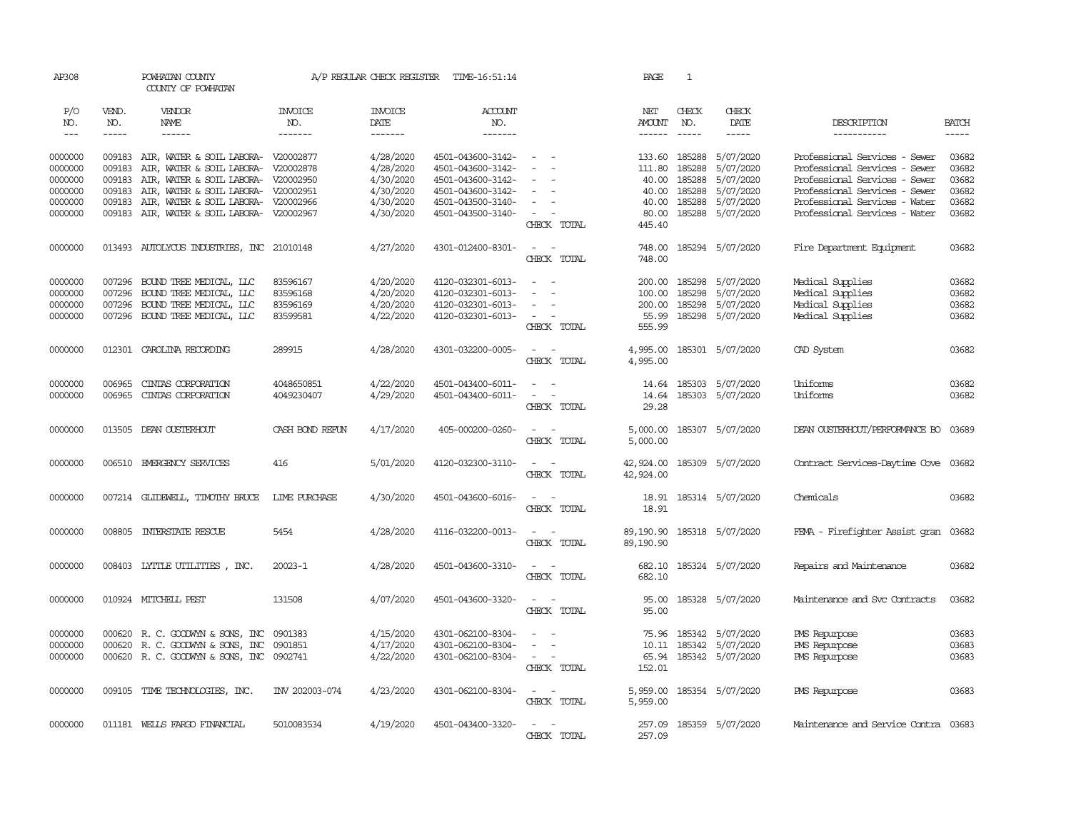| AP308              |              | POWHATAN COUNTY<br>COUNTY OF POWHATAN                                      |                       | A/P REGULAR CHECK REGISTER | TIME-16:51:14                          |                                                   | PAGE                   | 1                      |                        |                                                                |                |
|--------------------|--------------|----------------------------------------------------------------------------|-----------------------|----------------------------|----------------------------------------|---------------------------------------------------|------------------------|------------------------|------------------------|----------------------------------------------------------------|----------------|
| P/O<br>NO.         | VEND.<br>NO. | VENDOR<br>NAME                                                             | <b>INVOICE</b><br>NO. | <b>INVOICE</b><br>DATE     | ACCOUNT<br>NO.                         |                                                   | NET<br>AMOUNT          | CHECK<br>NO.           | CHECK<br>DATE          | DESCRIPTION                                                    | <b>BATCH</b>   |
| $  -$              | $- - - - -$  | ------                                                                     | -------               | -------                    | -------                                |                                                   | ------                 | $\cdots \cdots \cdots$ | $- - - - -$            | -----------                                                    | $- - - - -$    |
| 0000000<br>0000000 | 009183       | 009183 AIR, WATER & SOIL LABORA- V20002877                                 |                       | 4/28/2020<br>4/28/2020     | 4501-043600-3142-<br>4501-043600-3142- | $\equiv$<br>$\sim$                                | 133.60<br>111.80       | 185288<br>185288       | 5/07/2020<br>5/07/2020 | Professional Services - Sewer<br>Professional Services - Sewer | 03682<br>03682 |
| 0000000            | 009183       | AIR, WATER & SOIL LABORA- V20002878<br>AIR, WATER & SOIL LABORA- V20002950 |                       | 4/30/2020                  | 4501-043600-3142-                      |                                                   | 40.00                  | 185288                 | 5/07/2020              | Professional Services - Sewer                                  | 03682          |
| 0000000            | 009183       | AIR, WATER & SOIL LABORA- V20002951                                        |                       | 4/30/2020                  | 4501-043600-3142-                      |                                                   | 40.00                  | 185288                 | 5/07/2020              | Professional Services - Sewer                                  | 03682          |
| 0000000            | 009183       | AIR, WATER & SOIL LABORA- V20002966                                        |                       | 4/30/2020                  | 4501-043500-3140-                      | $\sim$                                            | 40.00                  | 185288                 | 5/07/2020              | Professional Services - Water                                  | 03682          |
| 0000000            | 009183       | AIR, WATER & SOIL LABORA- V20002967                                        |                       | 4/30/2020                  | 4501-043500-3140-                      | $\sim$                                            | 80.00                  | 185288                 | 5/07/2020              | Professional Services - Water                                  | 03682          |
|                    |              |                                                                            |                       |                            |                                        | CHECK TOTAL                                       | 445.40                 |                        |                        |                                                                |                |
| 0000000            |              | 013493 AUTOLYCUS INDUSTRIES, INC 21010148                                  |                       | 4/27/2020                  | 4301-012400-8301-                      | $\sim$ $ -$<br>CHECK TOTAL                        | 748.00<br>748.00       |                        | 185294 5/07/2020       | Fire Department Equipment                                      | 03682          |
| 0000000            |              | 007296 BOUND TREE MEDICAL, LLC                                             | 83596167              | 4/20/2020                  | 4120-032301-6013-                      | $\sim$<br>$\sim$                                  | 200.00                 | 185298                 | 5/07/2020              | Medical Supplies                                               | 03682          |
| 0000000            | 007296       | BOUND TREE MEDICAL, LLC                                                    | 83596168              | 4/20/2020                  | 4120-032301-6013-                      | $\sim$                                            | 100.00                 | 185298                 | 5/07/2020              | Medical Supplies                                               | 03682          |
| 0000000            | 007296       | BOUND TREE MEDICAL, LLC                                                    | 83596169              | 4/20/2020                  | 4120-032301-6013-                      | $\sim$<br>$\overline{a}$                          | 200.00                 | 185298                 | 5/07/2020              | Medical Supplies                                               | 03682          |
| 0000000            |              | 007296 BOUND TREE MEDICAL, LLC                                             | 83599581              | 4/22/2020                  | 4120-032301-6013-                      | CHECK TOTAL                                       | 55.99<br>555.99        |                        | 185298 5/07/2020       | Medical Supplies                                               | 03682          |
| 0000000            |              | 012301 CAROLINA RECORDING                                                  | 289915                | 4/28/2020                  | 4301-032200-0005-                      | $\sim$ $ \sim$                                    | 4,995.00               |                        | 185301 5/07/2020       | CAD System                                                     | 03682          |
|                    |              |                                                                            |                       |                            |                                        | CHECK TOTAL                                       | 4,995.00               |                        |                        |                                                                |                |
| 0000000            | 006965       | CINIAS CORPORATION                                                         | 4048650851            | 4/22/2020                  | 4501-043400-6011-                      |                                                   | 14.64                  |                        | 185303 5/07/2020       | Uniforms                                                       | 03682          |
| 0000000            | 006965       | CINIAS CORPORATION                                                         | 4049230407            | 4/29/2020                  | 4501-043400-6011-                      | CHECK TOTAL                                       | 14.64<br>29.28         |                        | 185303 5/07/2020       | Uniforms                                                       | 03682          |
| 0000000            |              | 013505 DEAN OUSTERHOUT                                                     | CASH BOND REFUN       | 4/17/2020                  | 405-000200-0260-                       | $\sim$<br>$\sim$<br>CHECK TOTAL                   | 5,000.00<br>5,000.00   |                        | 185307 5/07/2020       | DEAN OUSTERHOUT/PERFORMANCE BO                                 | 03689          |
| 0000000            |              | 006510 EMERGENCY SERVICES                                                  | 416                   | 5/01/2020                  | 4120-032300-3110-                      | $\overline{\phantom{a}}$<br>$\sim$<br>CHECK TOTAL | 42,924.00<br>42,924.00 |                        | 185309 5/07/2020       | Contract Services-Daytime Cove                                 | 03682          |
| 0000000            |              | 007214 GLIDEWELL, TIMOTHY BRUCE                                            | <b>LIME PURCHASE</b>  | 4/30/2020                  | 4501-043600-6016-                      | $\overline{\phantom{a}}$<br>. —<br>CHECK TOTAL    | 18.91<br>18.91         |                        | 185314 5/07/2020       | Chemicals                                                      | 03682          |
| 0000000            |              | 008805 INTERSTATE RESCUE                                                   | 5454                  | 4/28/2020                  | 4116-032200-0013-                      | $\sim$ $-$<br>$\sim$<br>CHECK TOTAL               | 89,190.90<br>89,190.90 |                        | 185318 5/07/2020       | FEMA - Firefighter Assist gran                                 | 03682          |
| 0000000            |              | 008403 LYTTLE UTILITIES, INC.                                              | 20023-1               | 4/28/2020                  | 4501-043600-3310-                      | $\sim$ $\sim$<br>CHECK TOTAL                      | 682.10<br>682.10       |                        | 185324 5/07/2020       | Repairs and Maintenance                                        | 03682          |
| 0000000            |              | 010924 MITCHELL PEST                                                       | 131508                | 4/07/2020                  | 4501-043600-3320-                      | $\sim$ $ \sim$<br>CHECK TOTAL                     | 95.00<br>95.00         |                        | 185328 5/07/2020       | Maintenance and Svc Contracts                                  | 03682          |
| 0000000            |              | 000620 R. C. GOODWIN & SONS, INC                                           | 0901383               | 4/15/2020                  | 4301-062100-8304-                      | $\sim$                                            | 75.96                  |                        | 185342 5/07/2020       | PMS Repurpose                                                  | 03683          |
| 0000000            |              | 000620 R. C. GOODWIN & SONS, INC                                           | 0901851               | 4/17/2020                  | 4301-062100-8304-                      | $\sim$<br>$\sim$                                  |                        |                        | 10.11 185342 5/07/2020 | PMS Repurpose                                                  | 03683          |
| 0000000            |              | 000620 R. C. GOODWYN & SONS, INC 0902741                                   |                       | 4/22/2020                  | 4301-062100-8304-                      | $\sim$<br>$\sim$<br>CHECK TOTAL                   | 65.94<br>152.01        |                        | 185342 5/07/2020       | PMS Repurpose                                                  | 03683          |
| 0000000            |              | 009105 TIME TECHNOLOGIES, INC.                                             | INV 202003-074        | 4/23/2020                  | 4301-062100-8304-                      | $\sim$ $ \sim$                                    | 5,959.00               |                        | 185354 5/07/2020       | PMS Repurpose                                                  | 03683          |
|                    |              |                                                                            |                       |                            |                                        | CHECK TOTAL                                       | 5,959.00               |                        |                        |                                                                |                |
| 0000000            |              | 011181 WELLS FARGO FINANCIAL                                               | 5010083534            | 4/19/2020                  | 4501-043400-3320-                      | $\sim$<br>$\sim$<br>CHECK TOTAL                   | 257.09<br>257.09       |                        | 185359 5/07/2020       | Maintenance and Service Contra 03683                           |                |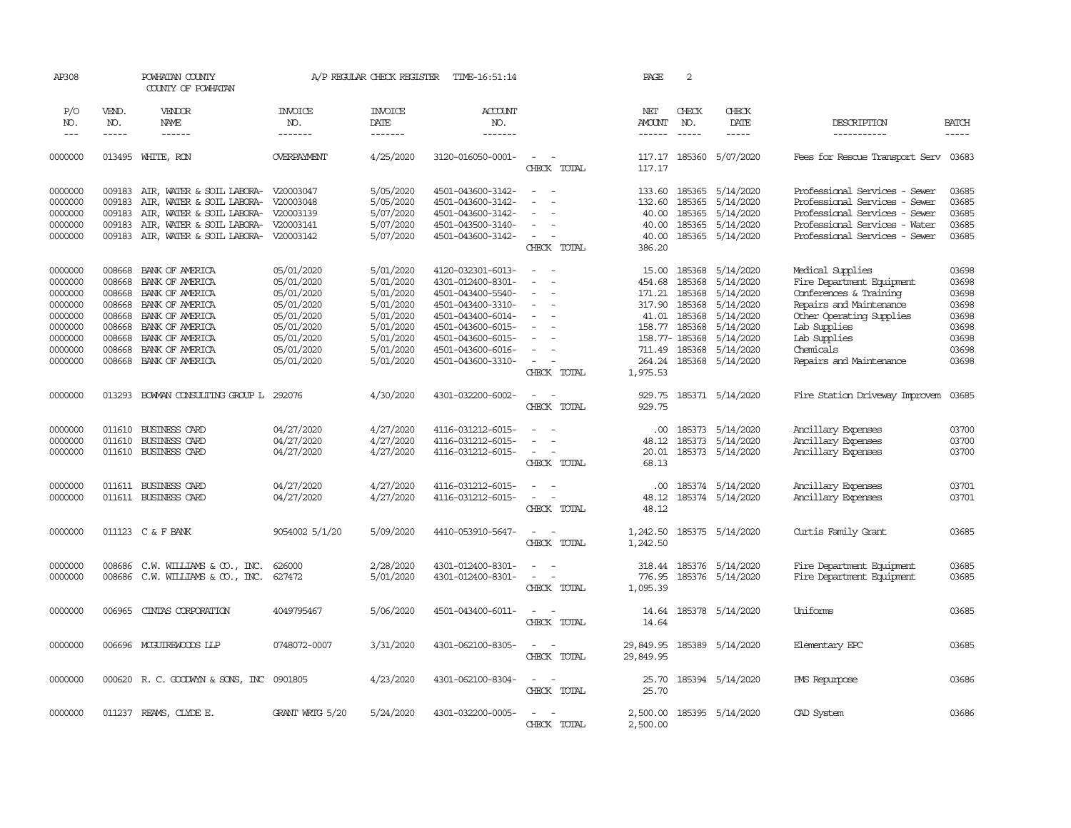| AP308      |              | POWHATAN COUNTY<br>COUNTY OF POWHATAN                                                                                                                                                                                                                                                                                                                                                                                                                                      |                       | A/P REGULAR CHECK REGISTER | TIME-16:51:14         |                                                                                                                           | PAGE                 | 2              |                  |                                |               |
|------------|--------------|----------------------------------------------------------------------------------------------------------------------------------------------------------------------------------------------------------------------------------------------------------------------------------------------------------------------------------------------------------------------------------------------------------------------------------------------------------------------------|-----------------------|----------------------------|-----------------------|---------------------------------------------------------------------------------------------------------------------------|----------------------|----------------|------------------|--------------------------------|---------------|
| P/O<br>NO. | VEND.<br>NO. | VENDOR<br>NAME                                                                                                                                                                                                                                                                                                                                                                                                                                                             | <b>INVOICE</b><br>NO. | <b>INVOICE</b><br>DATE     | <b>ACCOUNT</b><br>NO. |                                                                                                                           | NET<br><b>AMOUNT</b> | CHECK<br>NO.   | CHECK<br>DATE    | DESCRIPTION                    | <b>BATCH</b>  |
| $---$      | $- - - - -$  | $\frac{1}{2} \left( \frac{1}{2} \right) \left( \frac{1}{2} \right) \left( \frac{1}{2} \right) \left( \frac{1}{2} \right) \left( \frac{1}{2} \right) \left( \frac{1}{2} \right) \left( \frac{1}{2} \right) \left( \frac{1}{2} \right) \left( \frac{1}{2} \right) \left( \frac{1}{2} \right) \left( \frac{1}{2} \right) \left( \frac{1}{2} \right) \left( \frac{1}{2} \right) \left( \frac{1}{2} \right) \left( \frac{1}{2} \right) \left( \frac{1}{2} \right) \left( \frac$ | --------              | --------                   | --------              |                                                                                                                           | $- - - - - -$        | $---$          | $\frac{1}{2}$    | -----------                    | $\frac{1}{2}$ |
| 0000000    |              | 013495 WHITE, RON                                                                                                                                                                                                                                                                                                                                                                                                                                                          | <b>OVERPAYMENT</b>    | 4/25/2020                  | 3120-016050-0001-     | $\sim$<br>CHECK TOTAL                                                                                                     | 117.17<br>117.17     |                | 185360 5/07/2020 | Fees for Rescue Transport Serv | 03683         |
| 0000000    | 009183       | AIR, WATER & SOIL LABORA- V20003047                                                                                                                                                                                                                                                                                                                                                                                                                                        |                       | 5/05/2020                  | 4501-043600-3142-     | $\overline{\phantom{a}}$<br>$\sim$                                                                                        | 133.60               | 185365         | 5/14/2020        | Professional Services - Sewer  | 03685         |
| 0000000    | 009183       | AIR, WATER & SOIL LABORA- V20003048                                                                                                                                                                                                                                                                                                                                                                                                                                        |                       | 5/05/2020                  | 4501-043600-3142-     | $\equiv$                                                                                                                  | 132.60               | 185365         | 5/14/2020        | Professional Services - Sewer  | 03685         |
| 0000000    | 009183       | AIR, WATER & SOIL LABORA- V20003139                                                                                                                                                                                                                                                                                                                                                                                                                                        |                       | 5/07/2020                  | 4501-043600-3142-     |                                                                                                                           | 40.00                | 185365         | 5/14/2020        | Professional Services - Sewer  | 03685         |
| 0000000    | 009183       | AIR, WATER & SOIL LABORA- V20003141                                                                                                                                                                                                                                                                                                                                                                                                                                        |                       | 5/07/2020                  | 4501-043500-3140-     | $\equiv$                                                                                                                  | 40.00                | 185365         | 5/14/2020        | Professional Services - Water  | 03685         |
| 0000000    | 009183       | AIR, WATER & SOIL LABORA-                                                                                                                                                                                                                                                                                                                                                                                                                                                  | V20003142             | 5/07/2020                  | 4501-043600-3142-     | $\overline{\phantom{a}}$                                                                                                  | 40.00                |                | 185365 5/14/2020 | Professional Services - Sewer  | 03685         |
|            |              |                                                                                                                                                                                                                                                                                                                                                                                                                                                                            |                       |                            |                       | CHECK TOTAL                                                                                                               | 386.20               |                |                  |                                |               |
|            |              |                                                                                                                                                                                                                                                                                                                                                                                                                                                                            |                       |                            |                       |                                                                                                                           |                      |                |                  |                                |               |
| 0000000    | 008668       | BANK OF AMERICA                                                                                                                                                                                                                                                                                                                                                                                                                                                            | 05/01/2020            | 5/01/2020                  | 4120-032301-6013-     | $\equiv$                                                                                                                  | 15.00                | 185368         | 5/14/2020        | Medical Supplies               | 03698         |
| 0000000    | 008668       | BANK OF AMERICA                                                                                                                                                                                                                                                                                                                                                                                                                                                            | 05/01/2020            | 5/01/2020                  | 4301-012400-8301-     | $\equiv$                                                                                                                  | 454.68               | 185368         | 5/14/2020        | Fire Department Equipment      | 03698         |
| 0000000    | 008668       | BANK OF AMERICA                                                                                                                                                                                                                                                                                                                                                                                                                                                            | 05/01/2020            | 5/01/2020                  | 4501-043400-5540-     |                                                                                                                           |                      | 171.21 185368  | 5/14/2020        | Conferences & Training         | 03698         |
| 0000000    | 008668       | BANK OF AMERICA                                                                                                                                                                                                                                                                                                                                                                                                                                                            | 05/01/2020            | 5/01/2020                  | 4501-043400-3310-     |                                                                                                                           |                      | 317.90 185368  | 5/14/2020        | Repairs and Maintenance        | 03698         |
| 0000000    | 008668       | BANK OF AMERICA                                                                                                                                                                                                                                                                                                                                                                                                                                                            | 05/01/2020            | 5/01/2020                  | 4501-043400-6014-     | $\equiv$                                                                                                                  |                      | 41.01 185368   | 5/14/2020        | Other Operating Supplies       | 03698         |
| 0000000    | 008668       | BANK OF AMERICA                                                                                                                                                                                                                                                                                                                                                                                                                                                            | 05/01/2020            | 5/01/2020                  | 4501-043600-6015-     |                                                                                                                           |                      | 158.77 185368  | 5/14/2020        | Lab Supplies                   | 03698         |
| 0000000    | 008668       | BANK OF AMERICA                                                                                                                                                                                                                                                                                                                                                                                                                                                            | 05/01/2020            | 5/01/2020                  | 4501-043600-6015-     |                                                                                                                           |                      | 158.77- 185368 | 5/14/2020        | Lab Supplies                   | 03698         |
| 0000000    | 008668       | BANK OF AMERICA                                                                                                                                                                                                                                                                                                                                                                                                                                                            | 05/01/2020            | 5/01/2020                  | 4501-043600-6016-     | $\equiv$                                                                                                                  | 711.49               | 185368         | 5/14/2020        | Chemicals                      | 03698         |
| 0000000    | 008668       | BANK OF AMERICA                                                                                                                                                                                                                                                                                                                                                                                                                                                            | 05/01/2020            | 5/01/2020                  | 4501-043600-3310-     | $\sim$                                                                                                                    | 264.24               | 185368         | 5/14/2020        | Repairs and Maintenance        | 03698         |
|            |              |                                                                                                                                                                                                                                                                                                                                                                                                                                                                            |                       |                            |                       | CHECK TOTAL                                                                                                               | 1,975.53             |                |                  |                                |               |
| 0000000    |              | 013293 BOWAN CONSULTING GROUP L 292076                                                                                                                                                                                                                                                                                                                                                                                                                                     |                       | 4/30/2020                  | 4301-032200-6002-     | $\sim$<br>$\sim$<br>CHECK TOTAL                                                                                           | 929.75<br>929.75     |                | 185371 5/14/2020 | Fire Station Driveway Improvem | 03685         |
|            |              |                                                                                                                                                                                                                                                                                                                                                                                                                                                                            |                       |                            |                       |                                                                                                                           |                      |                |                  |                                |               |
| 0000000    | 011610       | BUSINESS CARD                                                                                                                                                                                                                                                                                                                                                                                                                                                              | 04/27/2020            | 4/27/2020                  | 4116-031212-6015-     | $\sim$                                                                                                                    | .00.                 | 185373         | 5/14/2020        | Ancillary Expenses             | 03700         |
| 0000000    | 011610       | BUSINESS CARD                                                                                                                                                                                                                                                                                                                                                                                                                                                              | 04/27/2020            | 4/27/2020                  | 4116-031212-6015-     | $\sim$                                                                                                                    | 48.12                | 185373         | 5/14/2020        | Ancillary Expenses             | 03700         |
| 0000000    | 011610       | BUSINESS CARD                                                                                                                                                                                                                                                                                                                                                                                                                                                              | 04/27/2020            | 4/27/2020                  | 4116-031212-6015-     | $\sim$<br>$\sim$<br>CHECK TOTAL                                                                                           | 20.01<br>68.13       |                | 185373 5/14/2020 | Ancillary Expenses             | 03700         |
| 0000000    |              | 011611 BUSINESS CARD                                                                                                                                                                                                                                                                                                                                                                                                                                                       | 04/27/2020            | 4/27/2020                  | 4116-031212-6015-     | $\equiv$                                                                                                                  | .00.                 |                | 185374 5/14/2020 | Ancillary Expenses             | 03701         |
| 0000000    |              | 011611 BUSINESS CARD                                                                                                                                                                                                                                                                                                                                                                                                                                                       | 04/27/2020            | 4/27/2020                  | 4116-031212-6015-     | $\sim$<br>$\sim$                                                                                                          | 48.12                |                | 185374 5/14/2020 | Ancillary Expenses             | 03701         |
|            |              |                                                                                                                                                                                                                                                                                                                                                                                                                                                                            |                       |                            |                       | CHECK TOTAL                                                                                                               | 48.12                |                |                  |                                |               |
| 0000000    |              | 011123 C & F BANK                                                                                                                                                                                                                                                                                                                                                                                                                                                          | 9054002 5/1/20        | 5/09/2020                  | 4410-053910-5647-     | $\sim$<br>$\sim$                                                                                                          | 1,242.50             |                | 185375 5/14/2020 | Curtis Family Grant            | 03685         |
|            |              |                                                                                                                                                                                                                                                                                                                                                                                                                                                                            |                       |                            |                       | CHECK TOTAL                                                                                                               | 1,242.50             |                |                  |                                |               |
| 0000000    | 008686       | C.W. WILLIAMS & CO., INC.                                                                                                                                                                                                                                                                                                                                                                                                                                                  | 626000                | 2/28/2020                  | 4301-012400-8301-     | $\overline{\phantom{a}}$<br>$\sim$                                                                                        | 318.44               |                | 185376 5/14/2020 | Fire Department Equipment      | 03685         |
| 0000000    |              | 008686 C.W. WILLIAMS & CO., INC.                                                                                                                                                                                                                                                                                                                                                                                                                                           | 627472                | 5/01/2020                  | 4301-012400-8301-     | $\frac{1}{2} \left( \frac{1}{2} \right) \left( \frac{1}{2} \right) \left( \frac{1}{2} \right) \left( \frac{1}{2} \right)$ | 776.95               |                | 185376 5/14/2020 | Fire Department Equipment      | 03685         |
|            |              |                                                                                                                                                                                                                                                                                                                                                                                                                                                                            |                       |                            |                       | CHECK TOTAL                                                                                                               | 1,095.39             |                |                  |                                |               |
| 0000000    | 006965       | CINIAS CORPORATION                                                                                                                                                                                                                                                                                                                                                                                                                                                         | 4049795467            | 5/06/2020                  | 4501-043400-6011-     | $\overline{\phantom{0}}$<br>$\sim$                                                                                        | 14.64                |                | 185378 5/14/2020 | Uniforms                       | 03685         |
|            |              |                                                                                                                                                                                                                                                                                                                                                                                                                                                                            |                       |                            |                       | CHECK TOTAL                                                                                                               | 14.64                |                |                  |                                |               |
| 0000000    |              | 006696 MCGUIREWOODS LLP                                                                                                                                                                                                                                                                                                                                                                                                                                                    | 0748072-0007          | 3/31/2020                  | 4301-062100-8305-     | $\sim$<br>$\sim$                                                                                                          | 29,849.95            |                | 185389 5/14/2020 | Elementary EPC                 | 03685         |
|            |              |                                                                                                                                                                                                                                                                                                                                                                                                                                                                            |                       |                            |                       | CHECK TOTAL                                                                                                               | 29,849.95            |                |                  |                                |               |
| 0000000    |              | 000620 R. C. GOODWYN & SONS, INC 0901805                                                                                                                                                                                                                                                                                                                                                                                                                                   |                       | 4/23/2020                  | 4301-062100-8304-     | $\sim$<br>$\sim$                                                                                                          | 25.70                |                | 185394 5/14/2020 | <b>PMS</b> Repurpose           | 03686         |
|            |              |                                                                                                                                                                                                                                                                                                                                                                                                                                                                            |                       |                            |                       | CHECK TOTAL                                                                                                               | 25.70                |                |                  |                                |               |
| 0000000    |              | 011237 REAMS, CLYDE E.                                                                                                                                                                                                                                                                                                                                                                                                                                                     | GRANT WRIG 5/20       | 5/24/2020                  | 4301-032200-0005-     | $\sim$ $ \sim$                                                                                                            | 2,500.00             |                | 185395 5/14/2020 | CAD System                     | 03686         |
|            |              |                                                                                                                                                                                                                                                                                                                                                                                                                                                                            |                       |                            |                       | CHECK TOTAL                                                                                                               | 2,500.00             |                |                  |                                |               |
|            |              |                                                                                                                                                                                                                                                                                                                                                                                                                                                                            |                       |                            |                       |                                                                                                                           |                      |                |                  |                                |               |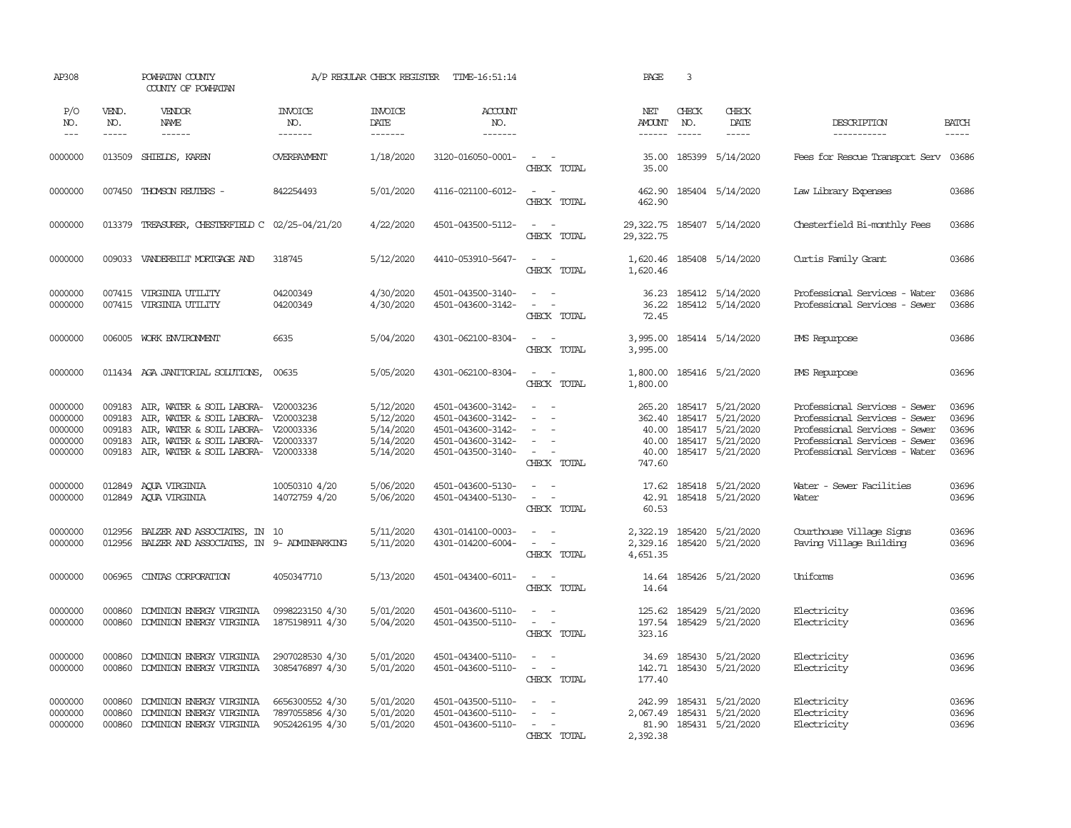| AP308                                               |                                      | POWHATAN COUNTY<br>COUNTY OF POWHATAN                                                                                                                                                        |                                                       | A/P REGULAR CHECK REGISTER                                    | TIME-16:51:14                                                                                         |                                                                                                                                                           | PAGE                                                  | 3                             |                                                                             |                                                                                                                                                                   |                                           |
|-----------------------------------------------------|--------------------------------------|----------------------------------------------------------------------------------------------------------------------------------------------------------------------------------------------|-------------------------------------------------------|---------------------------------------------------------------|-------------------------------------------------------------------------------------------------------|-----------------------------------------------------------------------------------------------------------------------------------------------------------|-------------------------------------------------------|-------------------------------|-----------------------------------------------------------------------------|-------------------------------------------------------------------------------------------------------------------------------------------------------------------|-------------------------------------------|
| P/O<br>NO.<br>$  -$                                 | VEND.<br>NO.<br>$- - - - -$          | VENDOR<br>NAME<br>$- - - - - -$                                                                                                                                                              | <b>INVOICE</b><br>NO.<br>--------                     | <b>INVOICE</b><br>DATE<br>$- - - - - - -$                     | <b>ACCOUNT</b><br>NO.<br>$- - - - - - -$                                                              |                                                                                                                                                           | NET<br><b>AMOUNT</b><br>$- - - - - -$                 | CHECK<br>NO.<br>$\frac{1}{2}$ | CHECK<br>DATE<br>$- - - - -$                                                | DESCRIPTION<br>-----------                                                                                                                                        | <b>BATCH</b><br>-----                     |
| 0000000                                             | 013509                               | SHIEIDS, KAREN                                                                                                                                                                               | OVERPAYMENT                                           | 1/18/2020                                                     | 3120-016050-0001-                                                                                     | $\sim$ $ \sim$<br>CHECK TOTAL                                                                                                                             | 35.00<br>35.00                                        | 185399                        | 5/14/2020                                                                   | Fees for Rescue Transport Serv 03686                                                                                                                              |                                           |
| 0000000                                             |                                      | 007450 THOMSON REUTERS -                                                                                                                                                                     | 842254493                                             | 5/01/2020                                                     | 4116-021100-6012-                                                                                     | $\sim$<br>$\sim$ $-$<br>CHECK TOTAL                                                                                                                       | 462.90<br>462.90                                      |                               | 185404 5/14/2020                                                            | Law Library Expenses                                                                                                                                              | 03686                                     |
| 0000000                                             |                                      | 013379 TREASURER, CHESTERFIELD C 02/25-04/21/20                                                                                                                                              |                                                       | 4/22/2020                                                     | 4501-043500-5112-                                                                                     | $\sim$ $\sim$<br>CHECK TOTAL                                                                                                                              | 29,322.75                                             |                               | 29, 322, 75 185407 5/14/2020                                                | Chesterfield Bi-monthly Fees                                                                                                                                      | 03686                                     |
| 0000000                                             |                                      | 009033 VANDERBILT MORTGAGE AND                                                                                                                                                               | 318745                                                | 5/12/2020                                                     | 4410-053910-5647-                                                                                     | $\sim$ $ \sim$<br>CHECK TOTAL                                                                                                                             | 1,620.46<br>1,620.46                                  |                               | 185408 5/14/2020                                                            | Curtis Family Grant                                                                                                                                               | 03686                                     |
| 0000000<br>0000000                                  | 007415                               | VIRGINIA UTILITY<br>007415 VIRGINIA UTILITY                                                                                                                                                  | 04200349<br>04200349                                  | 4/30/2020<br>4/30/2020                                        | 4501-043500-3140-<br>4501-043600-3142-                                                                | $\overline{\phantom{a}}$<br>$\sim$<br>$\sim$<br>CHECK TOTAL                                                                                               | 36.23<br>36.22<br>72.45                               |                               | 185412 5/14/2020<br>185412 5/14/2020                                        | Professional Services - Water<br>Professional Services - Sewer                                                                                                    | 03686<br>03686                            |
| 0000000                                             |                                      | 006005 WORK ENVIRONMENT                                                                                                                                                                      | 6635                                                  | 5/04/2020                                                     | 4301-062100-8304-                                                                                     | $\overline{\phantom{a}}$<br>CHECK TOTAL                                                                                                                   | 3,995.00<br>3,995.00                                  |                               | 185414 5/14/2020                                                            | PMS Repurpose                                                                                                                                                     | 03686                                     |
| 0000000                                             |                                      | 011434 AGA JANITORIAL SOLUTIONS,                                                                                                                                                             | 00635                                                 | 5/05/2020                                                     | 4301-062100-8304-                                                                                     | $\sim$ $ \sim$<br>CHECK TOTAL                                                                                                                             | 1,800.00<br>1,800.00                                  |                               | 185416 5/21/2020                                                            | PMS Repurpose                                                                                                                                                     | 03696                                     |
| 0000000<br>0000000<br>0000000<br>0000000<br>0000000 | 009183<br>009183<br>009183<br>009183 | 009183 AIR, WATER & SOIL LABORA- V20003236<br>AIR, WATER & SOIL LABORA-<br>AIR, WATER & SOIL LABORA- V20003336<br>AIR, WATER & SOIL LABORA- V20003337<br>AIR, WATER & SOIL LABORA- V20003338 | V20003238                                             | 5/12/2020<br>5/12/2020<br>5/14/2020<br>5/14/2020<br>5/14/2020 | 4501-043600-3142-<br>4501-043600-3142-<br>4501-043600-3142-<br>4501-043600-3142-<br>4501-043500-3140- | $\sim$ $ \sim$<br>$\sim$<br>$\overline{\phantom{a}}$<br>$\sim$<br>CHECK TOTAL                                                                             | 265.20<br>362.40<br>40.00<br>40.00<br>40.00<br>747.60 | 185417<br>185417<br>185417    | 185417 5/21/2020<br>5/21/2020<br>5/21/2020<br>5/21/2020<br>185417 5/21/2020 | Professional Services - Sewer<br>Professional Services - Sewer<br>Professional Services - Sewer<br>Professional Services - Sewer<br>Professional Services - Water | 03696<br>03696<br>03696<br>03696<br>03696 |
| 0000000<br>0000000                                  |                                      | 012849 AQUA VIRGINIA<br>012849 AQUA VIRGINIA                                                                                                                                                 | 10050310 4/20<br>14072759 4/20                        | 5/06/2020<br>5/06/2020                                        | 4501-043600-5130-<br>4501-043400-5130-                                                                | $\overline{\phantom{a}}$<br>$\sim$<br>$\sim$ $ \sim$<br>CHECK TOTAL                                                                                       | 17.62<br>42.91<br>60.53                               |                               | 185418 5/21/2020<br>185418 5/21/2020                                        | Water - Sewer Facilities<br>Water                                                                                                                                 | 03696<br>03696                            |
| 0000000<br>0000000                                  | 012956<br>012956                     | BALZER AND ASSOCIATES, IN 10<br>BALZER AND ASSOCIATES, IN 9- ADMINPARKING                                                                                                                    |                                                       | 5/11/2020<br>5/11/2020                                        | 4301-014100-0003-<br>4301-014200-6004-                                                                | $\omega_{\rm{max}}$ and $\omega_{\rm{max}}$<br>$\sim$ $ \sim$<br>CHECK TOTAL                                                                              | 2,322.19<br>2,329.16<br>4,651.35                      | 185420                        | 185420 5/21/2020<br>5/21/2020                                               | Courthouse Village Signs<br>Paving Village Building                                                                                                               | 03696<br>03696                            |
| 0000000                                             | 006965                               | CINIAS CORPORATION                                                                                                                                                                           | 4050347710                                            | 5/13/2020                                                     | 4501-043400-6011-                                                                                     | $\sim$<br>$\sim$ $-$<br>CHECK TOTAL                                                                                                                       | 14.64<br>14.64                                        |                               | 185426 5/21/2020                                                            | Uniforms                                                                                                                                                          | 03696                                     |
| 0000000<br>0000000                                  | 000860<br>000860                     | DOMINION ENERGY VIRGINIA<br>DOMINION ENERGY VIRGINIA                                                                                                                                         | 0998223150 4/30<br>1875198911 4/30                    | 5/01/2020<br>5/04/2020                                        | 4501-043600-5110-<br>4501-043500-5110-                                                                | $\sim$<br>$\sim$<br>$\sim$<br>$\sim$ $-$<br>CHECK TOTAL                                                                                                   | 125.62<br>197.54<br>323.16                            | 185429<br>185429              | 5/21/2020<br>5/21/2020                                                      | Electricity<br>Electricity                                                                                                                                        | 03696<br>03696                            |
| 0000000<br>0000000                                  | 000860<br>000860                     | DOMINION ENERGY VIRGINIA<br>DOMINION ENERGY VIRGINIA                                                                                                                                         | 2907028530 4/30<br>3085476897 4/30                    | 5/01/2020<br>5/01/2020                                        | 4501-043400-5110-<br>4501-043600-5110-                                                                | $\omega_{\rm{max}}$ and $\omega_{\rm{max}}$<br>$\omega_{\rm{max}}$ and $\omega_{\rm{max}}$<br>CHECK TOTAL                                                 | 142.71<br>177.40                                      |                               | 34.69 185430 5/21/2020<br>185430 5/21/2020                                  | Electricity<br>Electricity                                                                                                                                        | 03696<br>03696                            |
| 0000000<br>0000000<br>0000000                       | 000860<br>000860<br>000860           | DOMINION ENERGY VIRGINIA<br>DOMINION ENERGY VIRGINIA<br>DOMINION ENERGY VIRGINIA                                                                                                             | 6656300552 4/30<br>7897055856 4/30<br>9052426195 4/30 | 5/01/2020<br>5/01/2020<br>5/01/2020                           | 4501-043500-5110-<br>4501-043600-5110-<br>4501-043600-5110-                                           | $\frac{1}{2} \left( \frac{1}{2} \right) \left( \frac{1}{2} \right) = \frac{1}{2} \left( \frac{1}{2} \right)$<br>$\sim$<br>$\sim$<br>$\sim$<br>CHECK TOTAL | 242.99<br>2,067.49<br>81.90<br>2,392.38               | 185431<br>185431              | 5/21/2020<br>5/21/2020<br>185431 5/21/2020                                  | Electricity<br>Electricity<br>Electricity                                                                                                                         | 03696<br>03696<br>03696                   |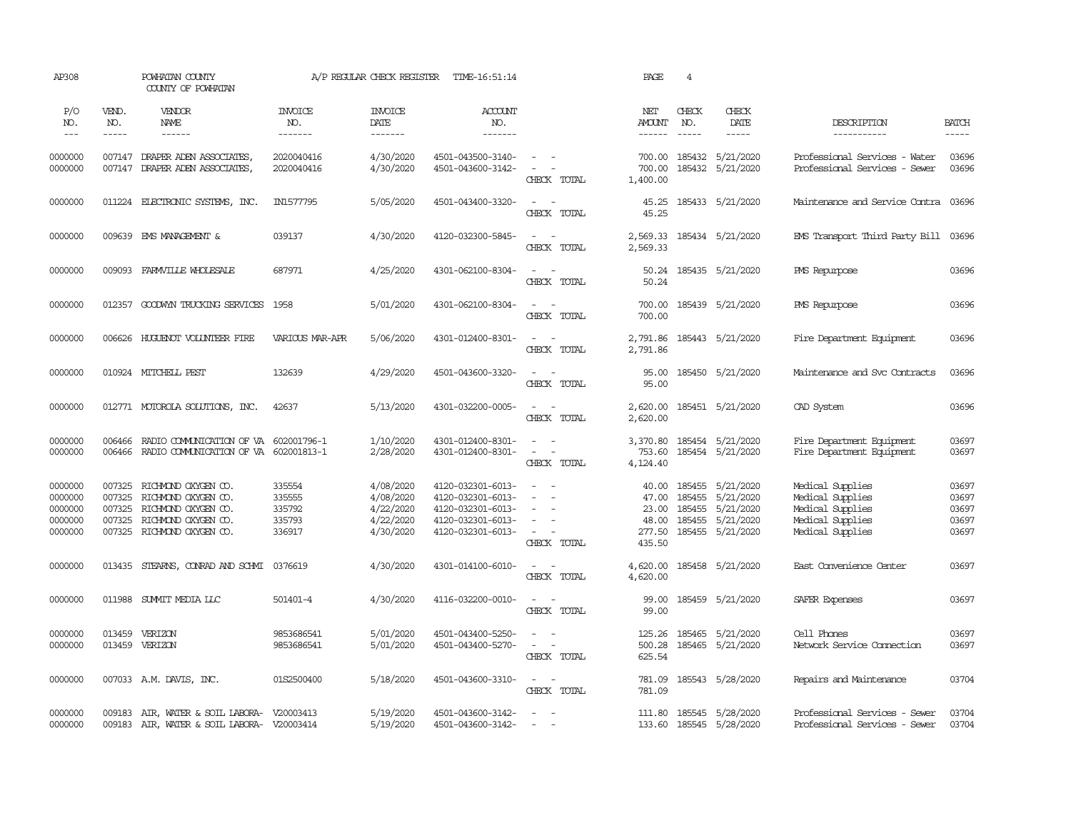| AP308                                               |                            | POWHATAN COUNTY<br>COUNTY OF POWHATAN                                                                                         |                                                | A/P REGULAR CHECK REGISTER                                    | TIME-16:51:14                                                                                         |                                                                                                                             | PAGE                                                                                                                                                                                                                                                                                                                                                                                                                                                                                                    | 4                             |                                                                                   |                                                                                                  |                                           |
|-----------------------------------------------------|----------------------------|-------------------------------------------------------------------------------------------------------------------------------|------------------------------------------------|---------------------------------------------------------------|-------------------------------------------------------------------------------------------------------|-----------------------------------------------------------------------------------------------------------------------------|---------------------------------------------------------------------------------------------------------------------------------------------------------------------------------------------------------------------------------------------------------------------------------------------------------------------------------------------------------------------------------------------------------------------------------------------------------------------------------------------------------|-------------------------------|-----------------------------------------------------------------------------------|--------------------------------------------------------------------------------------------------|-------------------------------------------|
| P/O<br>NO.<br>$\frac{1}{2}$                         | VEND.<br>NO.<br>-----      | VENDOR<br>NAME<br>------                                                                                                      | <b>INVOICE</b><br>NO.<br>-------               | <b>INVOICE</b><br>DATE<br>-------                             | <b>ACCOUNT</b><br>NO.<br>--------                                                                     |                                                                                                                             | NET<br>AMOUNT<br>$\begin{array}{cccccccccc} \multicolumn{2}{c}{} & \multicolumn{2}{c}{} & \multicolumn{2}{c}{} & \multicolumn{2}{c}{} & \multicolumn{2}{c}{} & \multicolumn{2}{c}{} & \multicolumn{2}{c}{} & \multicolumn{2}{c}{} & \multicolumn{2}{c}{} & \multicolumn{2}{c}{} & \multicolumn{2}{c}{} & \multicolumn{2}{c}{} & \multicolumn{2}{c}{} & \multicolumn{2}{c}{} & \multicolumn{2}{c}{} & \multicolumn{2}{c}{} & \multicolumn{2}{c}{} & \multicolumn{2}{c}{} & \multicolumn{2}{c}{} & \mult$ | CHECK<br>NO.<br>$\frac{1}{2}$ | CHECK<br>DATE<br>$- - - - -$                                                      | DESCRIPTION<br>-----------                                                                       | BATCH<br>-----                            |
| 0000000<br>0000000                                  | 007147                     | 007147 DRAPER ADEN ASSOCIATES<br>DRAPER ADEN ASSOCIATES,                                                                      | 2020040416<br>2020040416                       | 4/30/2020<br>4/30/2020                                        | 4501-043500-3140-<br>4501-043600-3142-                                                                | $\sim$ $ \sim$<br>$\omega_{\rm{max}}$ and $\omega_{\rm{max}}$<br>CHECK TOTAL                                                | 700.00<br>1,400.00                                                                                                                                                                                                                                                                                                                                                                                                                                                                                      | 185432                        | 700.00 185432 5/21/2020<br>5/21/2020                                              | Professional Services - Water<br>Professional Services - Sewer                                   | 03696<br>03696                            |
| 0000000                                             |                            | 011224 ELECTRONIC SYSTEMS, INC.                                                                                               | IN1577795                                      | 5/05/2020                                                     | 4501-043400-3320-                                                                                     | $\sim$ $\sim$<br>CHECK TOTAL                                                                                                | 45.25<br>45.25                                                                                                                                                                                                                                                                                                                                                                                                                                                                                          |                               | 185433 5/21/2020                                                                  | Maintenance and Service Contra                                                                   | 03696                                     |
| 0000000                                             |                            | 009639 EMS MANAGEMENT &                                                                                                       | 039137                                         | 4/30/2020                                                     | 4120-032300-5845-                                                                                     | $\sim$ $ -$<br>CHECK TOTAL                                                                                                  | 2,569.33<br>2,569.33                                                                                                                                                                                                                                                                                                                                                                                                                                                                                    |                               | 185434 5/21/2020                                                                  | EMS Transport Third Party Bill 03696                                                             |                                           |
| 0000000                                             |                            | 009093 FARMVILLE WHOLESALE                                                                                                    | 687971                                         | 4/25/2020                                                     | 4301-062100-8304-                                                                                     | $\sim$ $ \sim$<br>CHECK TOTAL                                                                                               | 50.24<br>50.24                                                                                                                                                                                                                                                                                                                                                                                                                                                                                          |                               | 185435 5/21/2020                                                                  | PMS Repurpose                                                                                    | 03696                                     |
| 0000000                                             | 012357                     | GOODWIN TRUCKING SERVICES                                                                                                     | 1958                                           | 5/01/2020                                                     | 4301-062100-8304-                                                                                     | $\sim$ $ -$<br>CHECK TOTAL                                                                                                  | 700.00<br>700.00                                                                                                                                                                                                                                                                                                                                                                                                                                                                                        |                               | 185439 5/21/2020                                                                  | PMS Repurpose                                                                                    | 03696                                     |
| 0000000                                             |                            | 006626 HUGUENOT VOLUNTEER FIRE                                                                                                | VARIOUS MAR-APR                                | 5/06/2020                                                     | 4301-012400-8301-                                                                                     | $\sim$ $ -$<br>CHECK TOTAL                                                                                                  | 2,791.86<br>2,791.86                                                                                                                                                                                                                                                                                                                                                                                                                                                                                    |                               | 185443 5/21/2020                                                                  | Fire Department Equipment                                                                        | 03696                                     |
| 0000000                                             |                            | 010924 MITCHELL PEST                                                                                                          | 132639                                         | 4/29/2020                                                     | 4501-043600-3320-                                                                                     | $\sim$ $ \sim$<br>CHECK TOTAL                                                                                               | 95.00<br>95.00                                                                                                                                                                                                                                                                                                                                                                                                                                                                                          |                               | 185450 5/21/2020                                                                  | Maintenance and Svc Contracts                                                                    | 03696                                     |
| 0000000                                             |                            | 012771 MOTOROLA SOLUTIONS, INC.                                                                                               | 42637                                          | 5/13/2020                                                     | 4301-032200-0005-                                                                                     | $\sim$ $ -$<br>CHECK TOTAL                                                                                                  | 2,620.00                                                                                                                                                                                                                                                                                                                                                                                                                                                                                                |                               | 2,620.00 185451 5/21/2020                                                         | CAD System                                                                                       | 03696                                     |
| 0000000<br>0000000                                  | 006466<br>006466           | RADIO COMMUNICATION OF VA<br>RADIO COMMUNICATION OF VA 602001813-1                                                            | 602001796-1                                    | 1/10/2020<br>2/28/2020                                        | 4301-012400-8301-<br>4301-012400-8301-                                                                | $\sim$<br>$\sim$ $\sim$<br>CHECK TOTAL                                                                                      | 4,124.40                                                                                                                                                                                                                                                                                                                                                                                                                                                                                                |                               | 3,370.80 185454 5/21/2020<br>753.60 185454 5/21/2020                              | Fire Department Equipment<br>Fire Department Equipment                                           | 03697<br>03697                            |
| 0000000<br>0000000<br>0000000<br>0000000<br>0000000 | 007325<br>007325<br>007325 | 007325 RICHMOND OXYGEN CO.<br>RICHMOND OXYGEN CO.<br>RICHMOND OXYGEN CO.<br>RICHMOND OXYGEN CO.<br>007325 RICHMOND OXYGEN CO. | 335554<br>335555<br>335792<br>335793<br>336917 | 4/08/2020<br>4/08/2020<br>4/22/2020<br>4/22/2020<br>4/30/2020 | 4120-032301-6013-<br>4120-032301-6013-<br>4120-032301-6013-<br>4120-032301-6013-<br>4120-032301-6013- | $\sim$<br>$\sim$<br>$\sim$<br>$\sim$<br>$\overline{\phantom{a}}$<br>$\sim$ $\sim$<br>CHECK TOTAL                            | 47.00<br>23.00<br>48.00<br>277.50<br>435.50                                                                                                                                                                                                                                                                                                                                                                                                                                                             | 185455<br>185455<br>185455    | 40.00 185455 5/21/2020<br>5/21/2020<br>5/21/2020<br>5/21/2020<br>185455 5/21/2020 | Medical Supplies<br>Medical Supplies<br>Medical Supplies<br>Medical Supplies<br>Medical Supplies | 03697<br>03697<br>03697<br>03697<br>03697 |
| 0000000                                             |                            | 013435 STEARNS, CONRAD AND SCHMI 0376619                                                                                      |                                                | 4/30/2020                                                     | 4301-014100-6010-                                                                                     | $\frac{1}{2} \left( \frac{1}{2} \right) \left( \frac{1}{2} \right) = \frac{1}{2} \left( \frac{1}{2} \right)$<br>CHECK TOTAL | 4,620.00<br>4,620.00                                                                                                                                                                                                                                                                                                                                                                                                                                                                                    |                               | 185458 5/21/2020                                                                  | East Convenience Center                                                                          | 03697                                     |
| 0000000                                             |                            | 011988 SUMMIT MEDIA LLC                                                                                                       | 501401-4                                       | 4/30/2020                                                     | 4116-032200-0010-                                                                                     | $\sim$ 100 $\sim$<br>CHECK TOTAL                                                                                            | 99.00<br>99.00                                                                                                                                                                                                                                                                                                                                                                                                                                                                                          |                               | 185459 5/21/2020                                                                  | SAFER Expenses                                                                                   | 03697                                     |
| 0000000<br>0000000                                  |                            | 013459 VERIZON<br>013459 VERIZON                                                                                              | 9853686541<br>9853686541                       | 5/01/2020<br>5/01/2020                                        | 4501-043400-5250-<br>4501-043400-5270-                                                                | $\sim$<br>$\sim$ $ \sim$<br>CHECK TOTAL                                                                                     | 125.26<br>500.28<br>625.54                                                                                                                                                                                                                                                                                                                                                                                                                                                                              |                               | 185465 5/21/2020<br>185465 5/21/2020                                              | Cell Phones<br>Network Service Connection                                                        | 03697<br>03697                            |
| 0000000                                             |                            | 007033 A.M. DAVIS, INC.                                                                                                       | 01S2500400                                     | 5/18/2020                                                     | 4501-043600-3310-                                                                                     | $\sim$ $ -$<br>CHECK TOTAL                                                                                                  | 781.09<br>781.09                                                                                                                                                                                                                                                                                                                                                                                                                                                                                        |                               | 185543 5/28/2020                                                                  | Repairs and Maintenance                                                                          | 03704                                     |
| 0000000<br>0000000                                  |                            | 009183 AIR, WATER & SOIL LABORA- V20003413<br>009183 AIR, WATER & SOIL LABORA- V20003414                                      |                                                | 5/19/2020<br>5/19/2020                                        | 4501-043600-3142-<br>4501-043600-3142-                                                                | $\sim$<br>$\overline{\phantom{a}}$<br>$\sim$                                                                                |                                                                                                                                                                                                                                                                                                                                                                                                                                                                                                         |                               | 111.80 185545 5/28/2020<br>133.60 185545 5/28/2020                                | Professional Services - Sewer<br>Professional Services - Sewer                                   | 03704<br>03704                            |